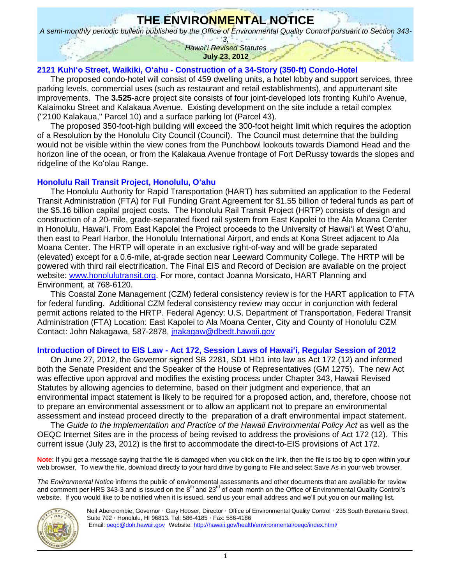# **THE ENVIRONMENTAL NOTICE**

*A semi-monthly periodic bulletin published by the Office of Environmental Quality Control pursuant to Section 343-*

*3, Hawai*'*i Revised Statutes* **July 23, 2012**

# **2121 Kuhiʻo Street, Waikiki, O'ahu - [Construction of a 34-Story \(350-ft\) Condo-Hotel](http://oeqc.doh.hawaii.gov/Shared%20Documents/EA_and_EIS_Online_Library/Oahu/2010s/2012-07-23-DEA-2121-Kuhio-34-Story-Hotel-Condo-in-Waikiki.pdf)**

The proposed condo-hotel will consist of 459 dwelling units, a hotel lobby and support services, three parking levels, commercial uses (such as restaurant and retail establishments), and appurtenant site improvements. The **3.525**-acre project site consists of four joint-developed lots fronting Kuhiʻo Avenue, Kalaimoku Street and Kalakaua Avenue. Existing development on the site include a retail complex ("2100 Kalakaua," Parcel 10) and a surface parking lot (Parcel 43).

The proposed 350-foot-high building will exceed the 300-foot height limit which requires the adoption of a Resolution by the Honolulu City Council (Council). The Council must determine that the building would not be visible within the view cones from the Punchbowl lookouts towards Diamond Head and the horizon line of the ocean, or from the Kalakaua Avenue frontage of Fort DeRussy towards the slopes and ridgeline of the Ko'olau Range.

## **[Honolulu Rail Transit Project, Honolulu, O'ahu](http://oeqc.doh.hawaii.gov/Shared%20Documents/Forms/AllItems.aspx?RootFolder=%2fShared%20Documents%2fEA%5fand%5fEIS%5fOnline%5fLibrary%2fOahu%2f2010s%2f2010%2d07%2d08%2dOA%2dFEIS%2dHONOLULU%2dHIGH%2dCAPACITY%2dTRANSIT%2dCORRIDOR&View=%7bC0C5C897%2d3066%2d4821%2d864E%2d36FB3D77F5D5%7d)**

The Honolulu Authority for Rapid Transportation (HART) has submitted an application to the Federal Transit Administration (FTA) for Full Funding Grant Agreement for \$1.55 billion of federal funds as part of the \$5.16 billion capital project costs. The Honolulu Rail Transit Project (HRTP) consists of design and construction of a 20-mile, grade-separated fixed rail system from East Kapolei to the Ala Moana Center in Honolulu, Hawai'i. From East Kapolei the Project proceeds to the University of Hawai'i at West O'ahu, then east to Pearl Harbor, the Honolulu International Airport, and ends at Kona Street adjacent to Ala Moana Center. The HRTP will operate in an exclusive right-of-way and will be grade separated (elevated) except for a 0.6-mile, at-grade section near Leeward Community College. The HRTP will be powered with third rail electrification. The Final EIS and Record of Decision are available on the project website: [www.honolulutransit.org.](http://www.honolulutransit.org/) For more, contact Joanna Morsicato, HART Planning and Environment, at 768-6120.

This Coastal Zone Management (CZM) federal consistency review is for the HART application to FTA for federal funding. Additional CZM federal consistency review may occur in conjunction with federal permit actions related to the HRTP. Federal Agency: U.S. Department of Transportation, Federal Transit Administration (FTA) Location: East Kapolei to Ala Moana Center, City and County of Honolulu CZM Contact: John Nakagawa, 587-2878, *inakagaw@dbedt.hawaii.gov* 

# **Introduction of Direct to EIS Law - [Act 172, Session Laws of Hawai'i, Regular Session of 2012](http://www.capitol.hawaii.gov/session2012/bills/SB2281_HD1_.pdf)**

On June 27, 2012, the Governor signed SB 2281, SD1 HD1 into law as Act 172 (12) and informed both the Senate President and the Speaker of the House of Representatives (GM 1275). The new Act was effective upon approval and modifies the existing process under Chapter 343, Hawaii Revised Statutes by allowing agencies to determine, based on their judgment and experience, that an environmental impact statement is likely to be required for a proposed action, and, therefore, choose not to prepare an environmental assessment or to allow an applicant not to prepare an environmental assessment and instead proceed directly to the preparation of a draft environmental impact statement.

The *Guide to the Implementation and Practice of the Hawaii Environmental Policy Act* as well as the OEQC Internet Sites are in the process of being revised to address the provisions of Act 172 (12). This current issue (July 23, 2012) is the first to accommodate the direct-to-EIS provisions of Act 172.

**Note**: If you get a message saying that the file is damaged when you click on the link, then the file is too big to open within your web browser. To view the file, download directly to your hard drive by going to File and select Save As in your web browser.

*The Environmental Notice* informs the public of environmental assessments and other documents that are available for review and comment per HRS 343-3 and is issued on the  $8<sup>th</sup>$  and 23<sup>rd</sup> of each month on the Office of Environmental Quality Control's website. If you would like to be notified when it is issued, send us your email address and we'll put you on our mailing list.



Neil Abercrombie, Governor · Gary Hooser, Director · Office of Environmental Quality Control · 235 South Beretania Street, Suite 702 · Honolulu, HI 96813. Tel: 586-4185 · Fax: 586-4186 Email: <u>oeqc@doh.hawaii.gov</u> Website: <http://hawaii.gov/health/environmental/oeqc/index.html/>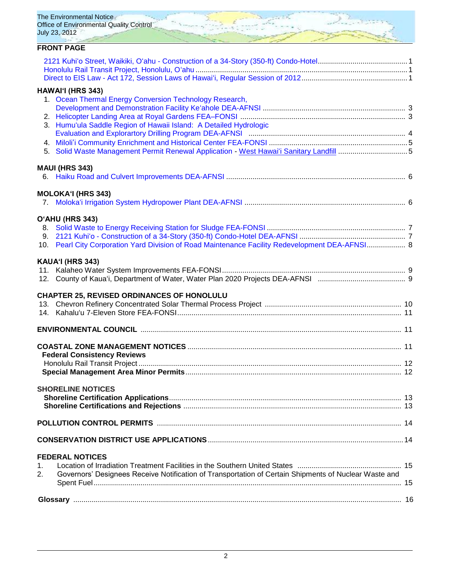| The Environmental Notice<br>Office of Environmental Quality Control<br>July 23, 2012                        |  |
|-------------------------------------------------------------------------------------------------------------|--|
| <b>FRONT PAGE</b>                                                                                           |  |
|                                                                                                             |  |
| HAWAI'I (HRS 343)                                                                                           |  |
| 1. Ocean Thermal Energy Conversion Technology Research,                                                     |  |
|                                                                                                             |  |
| 3. Humu'ula Saddle Region of Hawaii Island: A Detailed Hydrologic                                           |  |
|                                                                                                             |  |
|                                                                                                             |  |
| 5.                                                                                                          |  |
| <b>MAUI (HRS 343)</b>                                                                                       |  |
|                                                                                                             |  |
|                                                                                                             |  |
| <b>MOLOKA'I (HRS 343)</b>                                                                                   |  |
|                                                                                                             |  |
| O'AHU (HRS 343)                                                                                             |  |
|                                                                                                             |  |
| 10. Pearl City Corporation Yard Division of Road Maintenance Facility Redevelopment DEA-AFNSI 8             |  |
|                                                                                                             |  |
| KAUA'I (HRS 343)                                                                                            |  |
|                                                                                                             |  |
|                                                                                                             |  |
| <b>CHAPTER 25, REVISED ORDINANCES OF HONOLULU</b>                                                           |  |
|                                                                                                             |  |
|                                                                                                             |  |
|                                                                                                             |  |
|                                                                                                             |  |
| <b>Federal Consistency Reviews</b>                                                                          |  |
|                                                                                                             |  |
|                                                                                                             |  |
|                                                                                                             |  |
| <b>SHORELINE NOTICES</b>                                                                                    |  |
|                                                                                                             |  |
|                                                                                                             |  |
|                                                                                                             |  |
|                                                                                                             |  |
|                                                                                                             |  |
| <b>FEDERAL NOTICES</b><br>1.                                                                                |  |
| Governors' Designees Receive Notification of Transportation of Certain Shipments of Nuclear Waste and<br>2. |  |
|                                                                                                             |  |
|                                                                                                             |  |
|                                                                                                             |  |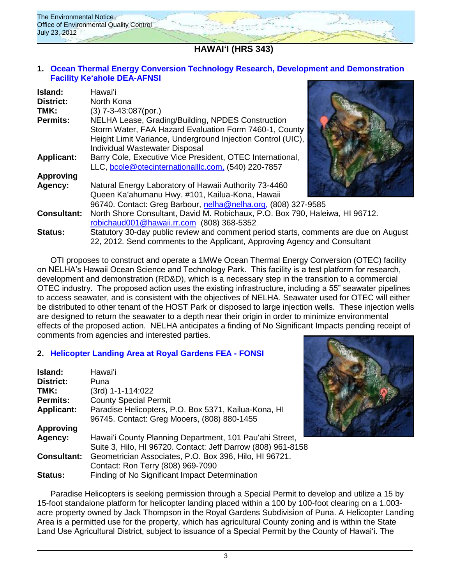

# **HAWAI'I (HRS 343)**

## **1. [Ocean Thermal Energy Conversion Technology Research, Development and Demonstration](http://oeqc.doh.hawaii.gov/Shared%20Documents/EA_and_EIS_Online_Library/Hawaii/2010s/2012-07-23-DEA-Ocean-Thermal-Energy-Conversion-Research-Development.pdf)  [Facility Keʻahole](http://oeqc.doh.hawaii.gov/Shared%20Documents/EA_and_EIS_Online_Library/Hawaii/2010s/2012-07-23-DEA-Ocean-Thermal-Energy-Conversion-Research-Development.pdf) DEA-AFNSI**

| Island:            | Hawai'i                                                                                                                                                                                                      |  |
|--------------------|--------------------------------------------------------------------------------------------------------------------------------------------------------------------------------------------------------------|--|
| <b>District:</b>   | North Kona                                                                                                                                                                                                   |  |
| TMK:               | $(3)$ 7-3-43:087(por.)                                                                                                                                                                                       |  |
| <b>Permits:</b>    | NELHA Lease, Grading/Building, NPDES Construction<br>Storm Water, FAA Hazard Evaluation Form 7460-1, County<br>Height Limit Variance, Underground Injection Control (UIC),<br>Individual Wastewater Disposal |  |
| <b>Applicant:</b>  | Barry Cole, Executive Vice President, OTEC International,<br>LLC, bcole@otecinternationalllc.com. (540) 220-7857                                                                                             |  |
| <b>Approving</b>   |                                                                                                                                                                                                              |  |
| Agency:            | Natural Energy Laboratory of Hawaii Authority 73-4460<br>Queen Ka'ahumanu Hwy. #101, Kailua-Kona, Hawaii                                                                                                     |  |
|                    | 96740. Contact: Greg Barbour, nelha@nelha.org, (808) 327-9585                                                                                                                                                |  |
| <b>Consultant:</b> | North Shore Consultant, David M. Robichaux, P.O. Box 790, Haleiwa, HI 96712.<br>robichaud001@hawaii.rr.com (808) 368-5352                                                                                    |  |
| <b>Status:</b>     | Statutory 30-day public review and comment period starts, comments are due on August<br>22, 2012. Send comments to the Applicant, Approving Agency and Consultant                                            |  |

OTI proposes to construct and operate a 1MWe Ocean Thermal Energy Conversion (OTEC) facility on NELHA's Hawaii Ocean Science and Technology Park. This facility is a test platform for research, development and demonstration (RD&D), which is a necessary step in the transition to a commercial OTEC industry. The proposed action uses the existing infrastructure, including a 55" seawater pipelines to access seawater, and is consistent with the objectives of NELHA. Seawater used for OTEC will either be distributed to other tenant of the HOST Park or disposed to large injection wells. These injection wells are designed to return the seawater to a depth near their origin in order to minimize environmental effects of the proposed action. NELHA anticipates a finding of No Significant Impacts pending receipt of comments from agencies and interested parties.

# **2. [Helicopter Landing Area at Royal Gardens](http://oeqc.doh.hawaii.gov/Shared%20Documents/EA_and_EIS_Online_Library/Hawaii/2010s/2012-07-23-FEA-Helicopter-Landing-Area-Royal-Gardens-Puna.pdf) FEA - FONSI**

| Island:            | Hawaiʻi                                                      |
|--------------------|--------------------------------------------------------------|
| <b>District:</b>   | Puna                                                         |
| TMK:               | (3rd) 1-1-114:022                                            |
| <b>Permits:</b>    | <b>County Special Permit</b>                                 |
| <b>Applicant:</b>  | Paradise Helicopters, P.O. Box 5371, Kailua-Kona, HI         |
|                    | 96745. Contact: Greg Mooers, (808) 880-1455                  |
| <b>Approving</b>   |                                                              |
| Agency:            | Hawai'i County Planning Department, 101 Pau'ahi Street,      |
|                    | Suite 3, Hilo, HI 96720. Contact: Jeff Darrow (808) 961-8158 |
| <b>Consultant:</b> | Geometrician Associates, P.O. Box 396, Hilo, HI 96721.       |
|                    | Contact: Ron Terry (808) 969-7090                            |
| <b>Status:</b>     | Finding of No Significant Impact Determination               |



Paradise Helicopters is seeking permission through a Special Permit to develop and utilize a 15 by 15-foot standalone platform for helicopter landing placed within a 100 by 100-foot clearing on a 1.003 acre property owned by Jack Thompson in the Royal Gardens Subdivision of Puna. A Helicopter Landing Area is a permitted use for the property, which has agricultural County zoning and is within the State Land Use Agricultural District, subject to issuance of a Special Permit by the County of Hawai'i. The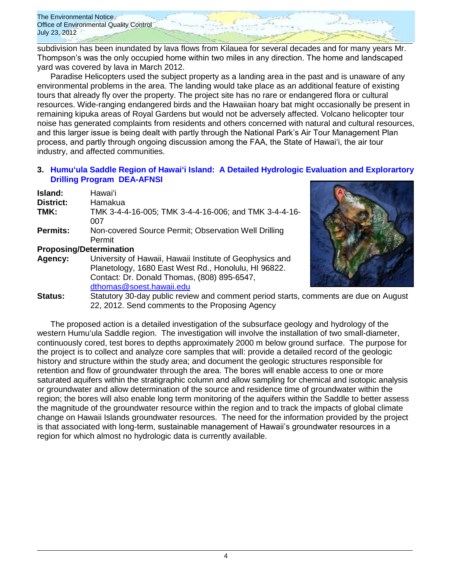subdivision has been inundated by lava flows from Kilauea for several decades and for many years Mr. Thompson's was the only occupied home within two miles in any direction. The home and landscaped yard was covered by lava in March 2012.

Paradise Helicopters used the subject property as a landing area in the past and is unaware of any environmental problems in the area. The landing would take place as an additional feature of existing tours that already fly over the property. The project site has no rare or endangered flora or cultural resources. Wide-ranging endangered birds and the Hawaiian hoary bat might occasionally be present in remaining kipuka areas of Royal Gardens but would not be adversely affected. Volcano helicopter tour noise has generated complaints from residents and others concerned with natural and cultural resources, and this larger issue is being dealt with partly through the National Park's Air Tour Management Plan process, and partly through ongoing discussion among the FAA, the State of Hawai'i, the air tour industry, and affected communities.

## **3. [Humuʻula Saddle Region of Hawai'i Island: A Detailed Hydrologic Evaluation and Explorartory](http://oeqc.doh.hawaii.gov/Shared%20Documents/EA_and_EIS_Online_Library/Hawaii/2010s/2012-07-23-DEA-Humuula-Saddle-Region-Hydrologic-Evaluation-Exploratory-Drilling.pdf)  [Drilling Program DEA-AFNSI](http://oeqc.doh.hawaii.gov/Shared%20Documents/EA_and_EIS_Online_Library/Hawaii/2010s/2012-07-23-DEA-Humuula-Saddle-Region-Hydrologic-Evaluation-Exploratory-Drilling.pdf)**

| <b>Island:</b>                 | Hawaiʻi                                               |
|--------------------------------|-------------------------------------------------------|
| District:                      | Hamakua                                               |
| TMK:                           | TMK 3-4-4-16-005; TMK 3-4-4-16-006; and TMK 3-4-4-16- |
|                                | 007                                                   |
| <b>Permits:</b>                | Non-covered Source Permit; Observation Well Drilling  |
|                                | Permit                                                |
| <b>Proposing/Determination</b> |                                                       |

| Agency: | University of Hawaii, Hawaii Institute of Geophysics and |
|---------|----------------------------------------------------------|
|         | Planetology, 1680 East West Rd., Honolulu, HI 96822.     |
|         | Contact: Dr. Donald Thomas, (808) 895-6547,              |
|         | dthomas@soest.hawaii.edu                                 |



**Status:** Statutory 30-day public review and comment period starts, comments are due on August 22, 2012. Send comments to the Proposing Agency

The proposed action is a detailed investigation of the subsurface geology and hydrology of the western Humuʻula Saddle region. The investigation will involve the installation of two small-diameter, continuously cored, test bores to depths approximately 2000 m below ground surface. The purpose for the project is to collect and analyze core samples that will: provide a detailed record of the geologic history and structure within the study area; and document the geologic structures responsible for retention and flow of groundwater through the area. The bores will enable access to one or more saturated aquifers within the stratigraphic column and allow sampling for chemical and isotopic analysis or groundwater and allow determination of the source and residence time of groundwater within the region; the bores will also enable long term monitoring of the aquifers within the Saddle to better assess the magnitude of the groundwater resource within the region and to track the impacts of global climate change on Hawaii Islands groundwater resources. The need for the information provided by the project is that associated with long-term, sustainable management of Hawaii's groundwater resources in a region for which almost no hydrologic data is currently available.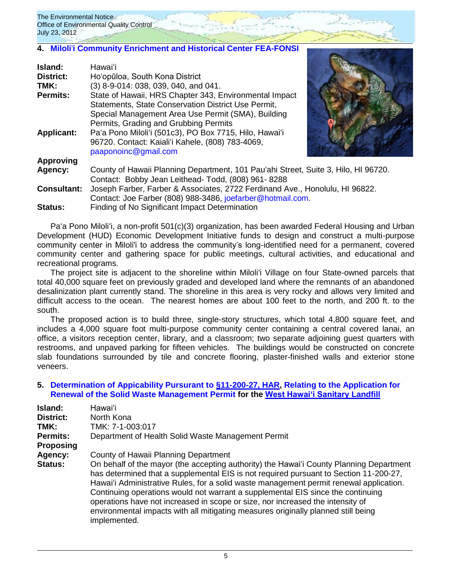## **4. Miloli**'**i [Community Enrichment and Historical Center](http://oeqc.doh.hawaii.gov/Shared%20Documents/EA_and_EIS_Online_Library/Hawaii/2010s/2012-07-23-FEA-Milolii-Community-Enrichment-Historical-Center.pdf) FEA-FONSI**

| Island:            | Hawai'i                                                                                                                                    |  |
|--------------------|--------------------------------------------------------------------------------------------------------------------------------------------|--|
| <b>District:</b>   | Ho'opūloa, South Kona District                                                                                                             |  |
| TMK:               | (3) 8-9-014: 038, 039, 040, and 041.                                                                                                       |  |
| <b>Permits:</b>    | State of Hawaii, HRS Chapter 343, Environmental Impact<br>Statements, State Conservation District Use Permit,                              |  |
|                    | Special Management Area Use Permit (SMA), Building<br>Permits, Grading and Grubbing Permits                                                |  |
| <b>Applicant:</b>  | Pa'a Pono Miloli'i (501c3), PO Box 7715, Hilo, Hawai'i<br>96720. Contact: Kaiali'i Kahele, (808) 783-4069,<br>paaponoinc@gmail.com         |  |
| <b>Approving</b>   |                                                                                                                                            |  |
| Agency:            | County of Hawaii Planning Department, 101 Pau'ahi Street, Suite 3, Hilo, HI 96720.                                                         |  |
|                    | Contact: Bobby Jean Leithead- Todd, (808) 961-8288                                                                                         |  |
| <b>Consultant:</b> | Joseph Farber, Farber & Associates, 2722 Ferdinand Ave., Honolulu, HI 96822.<br>Contact: Joe Farber (808) 988-3486, joefarber@hotmail.com. |  |

**Status:** Finding of No Significant Impact Determination

Paʻa Pono Miloliʻi, a non-profit 501(c)(3) organization, has been awarded Federal Housing and Urban Development (HUD) Economic Development Initiative funds to design and construct a multi-purpose community center in Miloli'i to address the community's long-identified need for a permanent, covered community center and gathering space for public meetings, cultural activities, and educational and recreational programs.

The project site is adjacent to the shoreline within Miloli'i Village on four State-owned parcels that total 40,000 square feet on previously graded and developed land where the remnants of an abandoned desalinization plant currently stand. The shoreline in this area is very rocky and allows very limited and difficult access to the ocean. The nearest homes are about 100 feet to the north, and 200 ft. to the south.

The proposed action is to build three, single-story structures, which total 4,800 square feet, and includes a 4,000 square foot multi-purpose community center containing a central covered lanai, an office, a visitors reception center, library, and a classroom; two separate adjoining guest quarters with restrooms, and unpaved parking for fifteen vehicles. The buildings would be constructed on concrete slab foundations surrounded by tile and concrete flooring, plaster-finished walls and exterior stone veneers.

### **5. [Determination of Appicability Pursurant to](http://oeqc.doh.hawaii.gov/Shared%20Documents/EA_and_EIS_Online_Library/OTHER%20CHAPTER%20343%20NOTICES/2012-07-23-HAR-11-200-27-West-Hawaii-Sanitary-Landfill-Permit-Removal.pdf) [§11-200-27, HAR,](http://gen.doh.hawaii.gov/sites/har/AdmRules1/11-200.htm#sec_27) [Relating to the Application for](http://oeqc.doh.hawaii.gov/Shared%20Documents/EA_and_EIS_Online_Library/OTHER%20CHAPTER%20343%20NOTICES/2012-07-23-HAR-11-200-27-West-Hawaii-Sanitary-Landfill-Permit-Removal.pdf)  [Renewal of the Solid Waste Management Permit](http://oeqc.doh.hawaii.gov/Shared%20Documents/EA_and_EIS_Online_Library/OTHER%20CHAPTER%20343%20NOTICES/2012-07-23-HAR-11-200-27-West-Hawaii-Sanitary-Landfill-Permit-Removal.pdf) for the [West Hawai'i Sanitary](http://oeqc.doh.hawaii.gov/Shared%20Documents/EA_and_EIS_Online_Library/Hawaii/1990s/1991-10-HA-FEIS-WEST-HAWAII-SANITARY-LANDFILL-PUUANAHULU.pdf) Landfill**

| Island:         | Hawaiʻi                                                                                                                                                                                                                                                                                                                                                                                                                                                                                                                                              |
|-----------------|------------------------------------------------------------------------------------------------------------------------------------------------------------------------------------------------------------------------------------------------------------------------------------------------------------------------------------------------------------------------------------------------------------------------------------------------------------------------------------------------------------------------------------------------------|
| District:       | North Kona                                                                                                                                                                                                                                                                                                                                                                                                                                                                                                                                           |
| TMK:            | TMK: 7-1-003:017                                                                                                                                                                                                                                                                                                                                                                                                                                                                                                                                     |
| <b>Permits:</b> | Department of Health Solid Waste Management Permit                                                                                                                                                                                                                                                                                                                                                                                                                                                                                                   |
| Proposing       |                                                                                                                                                                                                                                                                                                                                                                                                                                                                                                                                                      |
| Agency:         | County of Hawaii Planning Department                                                                                                                                                                                                                                                                                                                                                                                                                                                                                                                 |
| Status:         | On behalf of the mayor (the accepting authority) the Hawai'i County Planning Department<br>has determined that a supplemental EIS is not required pursuant to Section 11-200-27,<br>Hawai'i Administrative Rules, for a solid waste management permit renewal application.<br>Continuing operations would not warrant a supplemental EIS since the continuing<br>operations have not increased in scope or size, nor increased the intensity of<br>environmental impacts with all mitigating measures originally planned still being<br>implemented. |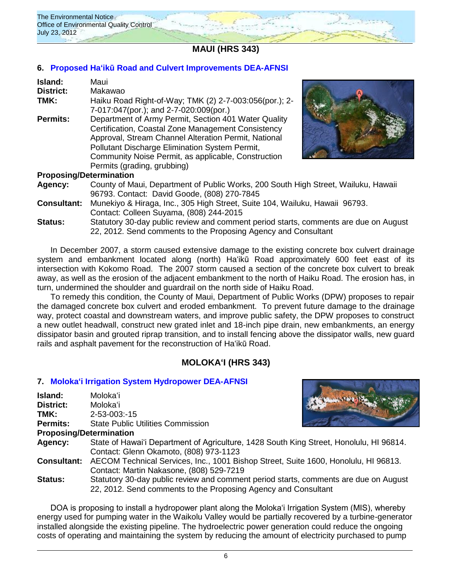

**MAUI (HRS 343)**

## **6. Proposed Ha'ikū [Road and Culvert Improvements DEA-AFNSI](http://oeqc.doh.hawaii.gov/Shared%20Documents/EA_and_EIS_Online_Library/Maui/2010s/2012-07-23-DEA-Haiku-Road-Improvements.pdf)**

| <b>Island:</b><br><b>District:</b><br>TMK: | Maui<br>Makawao<br>Haiku Road Right-of-Way; TMK (2) 2-7-003:056(por.); 2-                                                                                                                                                                                                                                  |
|--------------------------------------------|------------------------------------------------------------------------------------------------------------------------------------------------------------------------------------------------------------------------------------------------------------------------------------------------------------|
|                                            | 7-017:047(por.); and 2-7-020:009(por.)                                                                                                                                                                                                                                                                     |
| <b>Permits:</b>                            | Department of Army Permit, Section 401 Water Quality<br>Certification, Coastal Zone Management Consistency<br>Approval, Stream Channel Alteration Permit, National<br>Pollutant Discharge Elimination System Permit,<br>Community Noise Permit, as applicable, Construction<br>Permits (grading, grubbing) |
| <b>Proposing/Determination</b>             |                                                                                                                                                                                                                                                                                                            |



**Agency:** County of Maui, Department of Public Works, 200 South High Street, Wailuku, Hawaii 96793. Contact: David Goode, (808) 270-7845

- **Consultant:** Munekiyo & Hiraga, Inc., 305 High Street, Suite 104, Wailuku, Hawaii 96793. Contact: Colleen Suyama, (808) 244-2015
- **Status:** Statutory 30-day public review and comment period starts, comments are due on August 22, 2012. Send comments to the Proposing Agency and Consultant

In December 2007, a storm caused extensive damage to the existing concrete box culvert drainage system and embankment located along (north) Haʻikū Road approximately 600 feet east of its intersection with Kokomo Road. The 2007 storm caused a section of the concrete box culvert to break away, as well as the erosion of the adjacent embankment to the north of Haiku Road. The erosion has, in turn, undermined the shoulder and guardrail on the north side of Haiku Road.

To remedy this condition, the County of Maui, Department of Public Works (DPW) proposes to repair the damaged concrete box culvert and eroded embankment. To prevent future damage to the drainage way, protect coastal and downstream waters, and improve public safety, the DPW proposes to construct a new outlet headwall, construct new grated inlet and 18-inch pipe drain, new embankments, an energy dissipator basin and grouted riprap transition, and to install fencing above the dissipator walls, new guard rails and asphalt pavement for the reconstruction of Haʻikū Road.

# **MOLOKA'I (HRS 343)**

### **7. [Moloka'i Irrigation System Hydropower](http://oeqc.doh.hawaii.gov/Shared%20Documents/EA_and_EIS_Online_Library/Molokai/2010s/2012-07-23-DEA-Molokai-Irrigation-System-Hydropower-Plant.pdf) DEA-AFNSI**

| Island:            | Molokaʻi                                                                                                                                               |  |
|--------------------|--------------------------------------------------------------------------------------------------------------------------------------------------------|--|
| <b>District:</b>   | Molokaʻi                                                                                                                                               |  |
| TMK:               | 2-53-003:-15                                                                                                                                           |  |
| Permits:           | <b>State Public Utilities Commission</b>                                                                                                               |  |
|                    | <b>Proposing/Determination</b>                                                                                                                         |  |
| Agency:            | State of Hawai'i Department of Agriculture, 1428 South King Street, Honolulu, HI 96814.<br>Contact: Glenn Okamoto, (808) 973-1123                      |  |
| <b>Consultant:</b> | AECOM Technical Services, Inc., 1001 Bishop Street, Suite 1600, Honolulu, HI 96813.<br>Contact: Martin Nakasone, (808) 529-7219                        |  |
| <b>Status:</b>     | Statutory 30-day public review and comment period starts, comments are due on August<br>22, 2012. Send comments to the Proposing Agency and Consultant |  |

DOA is proposing to install a hydropower plant along the Moloka'i Irrigation System (MIS), whereby energy used for pumping water in the Waikolu Valley would be partially recovered by a turbine-generator installed alongside the existing pipeline. The hydroelectric power generation could reduce the ongoing costs of operating and maintaining the system by reducing the amount of electricity purchased to pump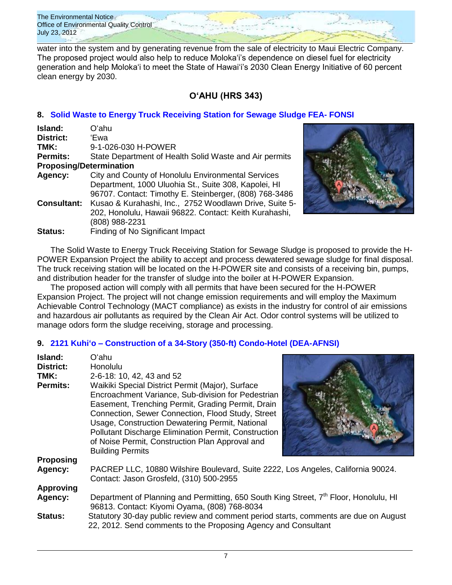water into the system and by generating revenue from the sale of electricity to Maui Electric Company. The proposed project would also help to reduce Moloka'i's dependence on diesel fuel for electricity generation and help Moloka'i to meet the State of Hawai'i's 2030 Clean Energy Initiative of 60 percent clean energy by 2030.

# **OʻAHU (HRS 343)**

# **8. [Solid Waste to Energy Truck Receiving Station for Sewage Sludge FEA-](http://oeqc.doh.hawaii.gov/Shared%20Documents/EA_and_EIS_Online_Library/Oahu/2010s/2012-07-23-FEA-Solid-Waste-to-Energy-Station-Kapolei.pdf) FONSI**

| Island:                        | Oʻahu                                                  |
|--------------------------------|--------------------------------------------------------|
| District:                      | 'Ewa                                                   |
| TMK:                           | 9-1-026-030 H-POWER                                    |
| <b>Permits:</b>                | State Department of Health Solid Waste and Air permits |
| <b>Proposing/Determination</b> |                                                        |
| Agency:                        | City and County of Honolulu Environmental Services     |
|                                | Department, 1000 Uluohia St., Suite 308, Kapolei, HI   |
|                                | 96707. Contact: Timothy E. Steinberger, (808) 768-3486 |
| <b>Consultant:</b>             | Kusao & Kurahashi, Inc., 2752 Woodlawn Drive, Suite 5- |
|                                | 202, Honolulu, Hawaii 96822. Contact: Keith Kurahashi, |
|                                | (808) 988-2231                                         |
| <b>Status:</b>                 | Finding of No Significant Impact                       |



The Solid Waste to Energy Truck Receiving Station for Sewage Sludge is proposed to provide the H-POWER Expansion Project the ability to accept and process dewatered sewage sludge for final disposal. The truck receiving station will be located on the H-POWER site and consists of a receiving bin, pumps, and distribution header for the transfer of sludge into the boiler at H-POWER Expansion.

The proposed action will comply with all permits that have been secured for the H-POWER Expansion Project. The project will not change emission requirements and will employ the Maximum Achievable Control Technology (MACT compliance) as exists in the industry for control of air emissions and hazardous air pollutants as required by the Clean Air Act. Odor control systems will be utilized to manage odors form the sludge receiving, storage and processing.

# **9. 2121 Kuhi'o – [Construction of a 34-Story \(350-ft\) Condo-Hotel \(DEA-AFNSI\)](http://oeqc.doh.hawaii.gov/Shared%20Documents/EA_and_EIS_Online_Library/Oahu/2010s/2012-07-23-DEA-2121-Kuhio-34-Story-Hotel-Condo-in-Waikiki.pdf)**

| Island:          | Oʻahu                                                                                                                                                  |  |
|------------------|--------------------------------------------------------------------------------------------------------------------------------------------------------|--|
| District:        | <b>Honolulu</b>                                                                                                                                        |  |
| TMK:             | 2-6-18: 10, 42, 43 and 52                                                                                                                              |  |
| <b>Permits:</b>  | Waikiki Special District Permit (Major), Surface                                                                                                       |  |
|                  | Encroachment Variance, Sub-division for Pedestrian                                                                                                     |  |
|                  | Easement, Trenching Permit, Grading Permit, Drain                                                                                                      |  |
|                  | Connection, Sewer Connection, Flood Study, Street                                                                                                      |  |
|                  | Usage, Construction Dewatering Permit, National                                                                                                        |  |
|                  | Pollutant Discharge Elimination Permit, Construction                                                                                                   |  |
|                  | of Noise Permit, Construction Plan Approval and                                                                                                        |  |
|                  | <b>Building Permits</b>                                                                                                                                |  |
| <b>Proposing</b> |                                                                                                                                                        |  |
| Agency:          | PACREP LLC, 10880 Wilshire Boulevard, Suite 2222, Los Angeles, California 90024.                                                                       |  |
|                  | Contact: Jason Grosfeld, (310) 500-2955                                                                                                                |  |
| <b>Approving</b> |                                                                                                                                                        |  |
| Agency:          | Department of Planning and Permitting, 650 South King Street, 7 <sup>th</sup> Floor, Honolulu, HI                                                      |  |
|                  | 96813. Contact: Kiyomi Oyama, (808) 768-8034                                                                                                           |  |
| <b>Status:</b>   | Statutory 30-day public review and comment period starts, comments are due on August<br>22, 2012. Send comments to the Proposing Agency and Consultant |  |
|                  |                                                                                                                                                        |  |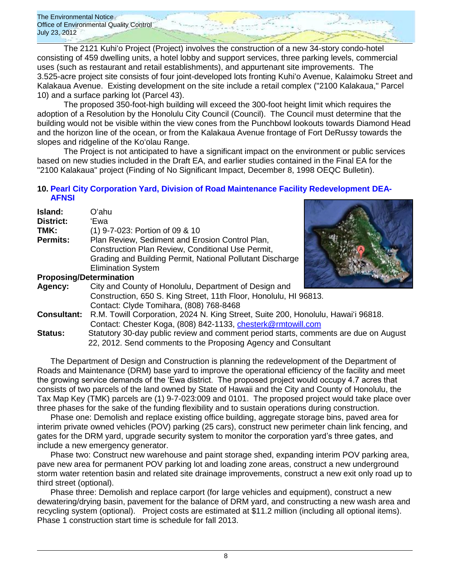The 2121 Kuhiʻo Project (Project) involves the construction of a new 34-story condo-hotel consisting of 459 dwelling units, a hotel lobby and support services, three parking levels, commercial uses (such as restaurant and retail establishments), and appurtenant site improvements. The 3.525-acre project site consists of four joint-developed lots fronting Kuhiʻo Avenue, Kalaimoku Street and Kalakaua Avenue. Existing development on the site include a retail complex ("2100 Kalakaua," Parcel 10) and a surface parking lot (Parcel 43).

The proposed 350-foot-high building will exceed the 300-foot height limit which requires the adoption of a Resolution by the Honolulu City Council (Council). The Council must determine that the building would not be visible within the view cones from the Punchbowl lookouts towards Diamond Head and the horizon line of the ocean, or from the Kalakaua Avenue frontage of Fort DeRussy towards the slopes and ridgeline of the Ko'olau Range.

The Project is not anticipated to have a significant impact on the environment or public services based on new studies included in the Draft EA, and earlier studies contained in the Final EA for the "2100 Kalakaua" project (Finding of No Significant Impact, December 8, 1998 OEQC Bulletin).

## **10. [Pearl City Corporation Yard, Division of Road Maintenance Facility Redevelopment DEA-](http://oeqc.doh.hawaii.gov/Shared%20Documents/EA_and_EIS_Online_Library/Oahu/2010s/2012-07-23-DEA-Pearl-City-Corporation-Yard-Division-Road-Maintenance-Facility.pdf)[AFNSI](http://oeqc.doh.hawaii.gov/Shared%20Documents/EA_and_EIS_Online_Library/Oahu/2010s/2012-07-23-DEA-Pearl-City-Corporation-Yard-Division-Road-Maintenance-Facility.pdf)**

| Island:   | Oʻahu                                                     |  |
|-----------|-----------------------------------------------------------|--|
| District: | 'Ewa                                                      |  |
| TMK:      | (1) 9-7-023: Portion of 09 & 10                           |  |
| Permits:  | Plan Review, Sediment and Erosion Control Plan,           |  |
|           | Construction Plan Review, Conditional Use Permit,         |  |
|           | Grading and Building Permit, National Pollutant Discharge |  |
|           | <b>Elimination System</b>                                 |  |
|           | <b>Proposing/Determination</b>                            |  |
|           |                                                           |  |



| Agency:       | City and County of Honolulu, Department of Design and                             |
|---------------|-----------------------------------------------------------------------------------|
|               | Construction, 650 S. King Street, 11th Floor, Honolulu, HI 96813.                 |
|               | Contact: Clyde Tomihara, (808) 768-8468                                           |
| Consultant:   | R.M. Towill Corporation, 2024 N. King Street, Suite 200, Honolulu, Hawai'i 96818. |
|               | Contact: Chester Koga, (808) 842-1133, chesterk@rmtowill.com                      |
| <b>Statue</b> | Statutory 30-day public review and comment period starts, comments are due on A   |

**Status:** Statutory 30-day public review and comment period starts, comments are due on August 22, 2012. Send comments to the Proposing Agency and Consultant

The Department of Design and Construction is planning the redevelopment of the Department of Roads and Maintenance (DRM) base yard to improve the operational efficiency of the facility and meet the growing service demands of the 'Ewa district. The proposed project would occupy 4.7 acres that consists of two parcels of the land owned by State of Hawaii and the City and County of Honolulu, the Tax Map Key (TMK) parcels are (1) 9-7-023:009 and 0101. The proposed project would take place over three phases for the sake of the funding flexibility and to sustain operations during construction.

Phase one: Demolish and replace existing office building, aggregate storage bins, paved area for interim private owned vehicles (POV) parking (25 cars), construct new perimeter chain link fencing, and gates for the DRM yard, upgrade security system to monitor the corporation yard's three gates, and include a new emergency generator.

Phase two: Construct new warehouse and paint storage shed, expanding interim POV parking area, pave new area for permanent POV parking lot and loading zone areas, construct a new underground storm water retention basin and related site drainage improvements, construct a new exit only road up to third street (optional).

Phase three: Demolish and replace carport (for large vehicles and equipment), construct a new dewatering/drying basin, pavement for the balance of DRM yard, and constructing a new wash area and recycling system (optional). Project costs are estimated at \$11.2 million (including all optional items). Phase 1 construction start time is schedule for fall 2013.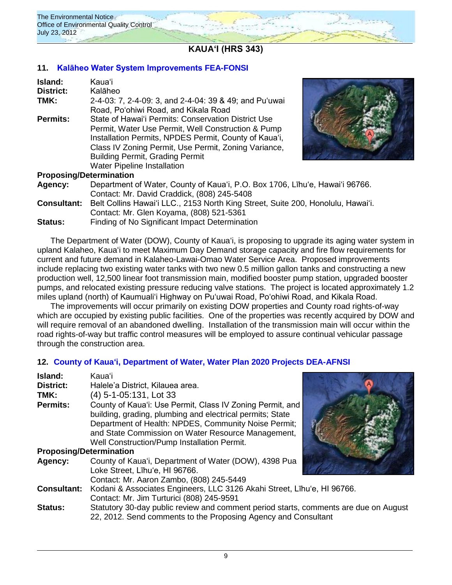

**KAUAʻI (HRS 343)**

## **11. [Kalāheo Water System Improvements](http://oeqc.doh.hawaii.gov/Shared%20Documents/EA_and_EIS_Online_Library/Kauai/2010s/2012-07-23-FEA-Kalaheo-Water-System-Improvements.pdf) FEA-FONSI**

| Island:                        | Kauaʻi                                                 |
|--------------------------------|--------------------------------------------------------|
| <b>District:</b>               | Kalāheo                                                |
| TMK:                           | 2-4-03: 7, 2-4-09: 3, and 2-4-04: 39 & 49; and Pu'uwai |
|                                | Road, Po'ohiwi Road, and Kikala Road                   |
| <b>Permits:</b>                | State of Hawai'i Permits: Conservation District Use    |
|                                | Permit, Water Use Permit, Well Construction & Pump     |
|                                | Installation Permits, NPDES Permit, County of Kaua'i,  |
|                                | Class IV Zoning Permit, Use Permit, Zoning Variance,   |
|                                | <b>Building Permit, Grading Permit</b>                 |
|                                | <b>Water Pipeline Installation</b>                     |
| <b>Proposing/Determination</b> |                                                        |



## **Proposing/Determination**

**Agency:** Department of Water, County of Kaua'i, P.O. Box 1706, Līhu'e, Hawai'i 96766. Contact: Mr. David Craddick, (808) 245-5408 **Consultant:** Belt Collins Hawai'i LLC., 2153 North King Street, Suite 200, Honolulu, Hawai'i. Contact: Mr. Glen Koyama, (808) 521-5361 **Status:** Finding of No Significant Impact Determination

The Department of Water (DOW), County of Kaua'i, is proposing to upgrade its aging water system in upland Kalaheo, Kaua'i to meet Maximum Day Demand storage capacity and fire flow requirements for current and future demand in Kalaheo-Lawai-Omao Water Service Area. Proposed improvements include replacing two existing water tanks with two new 0.5 million gallon tanks and constructing a new production well, 12,500 linear foot transmission main, modified booster pump station, upgraded booster pumps, and relocated existing pressure reducing valve stations. The project is located approximately 1.2 miles upland (north) of Kaumuali'i Highway on Pu'uwai Road, Po'ohiwi Road, and Kikala Road.

The improvements will occur primarily on existing DOW properties and County road rights-of-way which are occupied by existing public facilities. One of the properties was recently acquired by DOW and will require removal of an abandoned dwelling. Installation of the transmission main will occur within the road rights-of-way but traffic control measures will be employed to assure continual vehicular passage through the construction area.

# **12. County of Kauaʻi, [Department of Water, Water Plan 2020 Projects](http://oeqc.doh.hawaii.gov/Shared%20Documents/EA_and_EIS_Online_Library/Kauai/2010s/2012-07-23-DEA-County-Kauai-Water-Plan-2020-Projects.pdf) DEA-AFNSI**

| Island:<br><b>District:</b><br>TMK:<br><b>Permits:</b> | Kauaʻi<br>Halele'a District, Kilauea area.<br>(4) 5-1-05:131, Lot 33<br>County of Kaua'i: Use Permit, Class IV Zoning Permit, and<br>building, grading, plumbing and electrical permits; State<br>Department of Health: NPDES, Community Noise Permit;<br>and State Commission on Water Resource Management,<br>Well Construction/Pump Installation Permit. |  |
|--------------------------------------------------------|-------------------------------------------------------------------------------------------------------------------------------------------------------------------------------------------------------------------------------------------------------------------------------------------------------------------------------------------------------------|--|
| <b>Proposing/Determination</b>                         |                                                                                                                                                                                                                                                                                                                                                             |  |
| Agency:                                                | County of Kaua'i, Department of Water (DOW), 4398 Pua<br>Loke Street, Līhu'e, HI 96766.<br>Contact: Mr. Aaron Zambo, (808) 245-5449                                                                                                                                                                                                                         |  |
| <b>Consultant:</b>                                     | Kodani & Associates Engineers, LLC 3126 Akahi Street, Līhu'e, HI 96766.<br>Contact: Mr. Jim Turturici (808) 245-9591                                                                                                                                                                                                                                        |  |
| <b>Status:</b>                                         | Statutory 30-day public review and comment period starts, comments are due on August<br>22, 2012. Send comments to the Proposing Agency and Consultant                                                                                                                                                                                                      |  |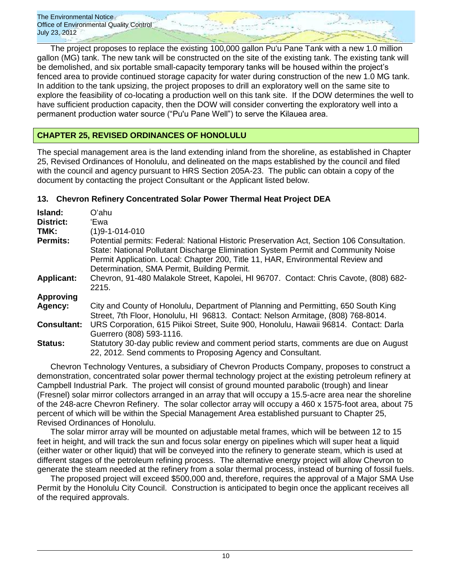The project proposes to replace the existing 100,000 gallon Pu'u Pane Tank with a new 1.0 million gallon (MG) tank. The new tank will be constructed on the site of the existing tank. The existing tank will be demolished, and six portable small-capacity temporary tanks will be housed within the project's fenced area to provide continued storage capacity for water during construction of the new 1.0 MG tank. In addition to the tank upsizing, the project proposes to drill an exploratory well on the same site to explore the feasibility of co-locating a production well on this tank site. If the DOW determines the well to have sufficient production capacity, then the DOW will consider converting the exploratory well into a permanent production water source ("Pu'u Pane Well") to serve the Kilauea area.

# **CHAPTER 25, REVISED ORDINANCES OF HONOLULU**

The special management area is the land extending inland from the shoreline, as established in Chapter 25, Revised Ordinances of Honolulu, and delineated on the maps established by the council and filed with the council and agency pursuant to HRS Section 205A-23. The public can obtain a copy of the document by contacting the project Consultant or the Applicant listed below.

# **13. Chevron Refinery Concentrated Solar Power Thermal Heat Project DEA**

| Island:                  | Oʻahu                                                                                                                                                                                                                                                                                                            |
|--------------------------|------------------------------------------------------------------------------------------------------------------------------------------------------------------------------------------------------------------------------------------------------------------------------------------------------------------|
| <b>District:</b><br>TMK: | 'Ewa<br>$(1)9 - 1 - 014 - 010$                                                                                                                                                                                                                                                                                   |
| <b>Permits:</b>          | Potential permits: Federal: National Historic Preservation Act, Section 106 Consultation.<br>State: National Pollutant Discharge Elimination System Permit and Community Noise<br>Permit Application. Local: Chapter 200, Title 11, HAR, Environmental Review and<br>Determination, SMA Permit, Building Permit. |
| <b>Applicant:</b>        | Chevron, 91-480 Malakole Street, Kapolei, HI 96707. Contact: Chris Cavote, (808) 682-<br>2215.                                                                                                                                                                                                                   |
| <b>Approving</b>         |                                                                                                                                                                                                                                                                                                                  |
| Agency:                  | City and County of Honolulu, Department of Planning and Permitting, 650 South King<br>Street, 7th Floor, Honolulu, HI 96813. Contact: Nelson Armitage, (808) 768-8014.                                                                                                                                           |
| <b>Consultant:</b>       | URS Corporation, 615 Piikoi Street, Suite 900, Honolulu, Hawaii 96814. Contact: Darla<br>Guerrero (808) 593-1116.                                                                                                                                                                                                |
| <b>Status:</b>           | Statutory 30-day public review and comment period starts, comments are due on August<br>22, 2012. Send comments to Proposing Agency and Consultant.                                                                                                                                                              |

Chevron Technology Ventures, a subsidiary of Chevron Products Company, proposes to construct a demonstration, concentrated solar power thermal technology project at the existing petroleum refinery at Campbell Industrial Park. The project will consist of ground mounted parabolic (trough) and linear (Fresnel) solar mirror collectors arranged in an array that will occupy a 15.5-acre area near the shoreline of the 248-acre Chevron Refinery. The solar collector array will occupy a 460 x 1575-foot area, about 75 percent of which will be within the Special Management Area established pursuant to Chapter 25, Revised Ordinances of Honolulu.

The solar mirror array will be mounted on adjustable metal frames, which will be between 12 to 15 feet in height, and will track the sun and focus solar energy on pipelines which will super heat a liquid (either water or other liquid) that will be conveyed into the refinery to generate steam, which is used at different stages of the petroleum refining process. The alternative energy project will allow Chevron to generate the steam needed at the refinery from a solar thermal process, instead of burning of fossil fuels.

The proposed project will exceed \$500,000 and, therefore, requires the approval of a Major SMA Use Permit by the Honolulu City Council. Construction is anticipated to begin once the applicant receives all of the required approvals.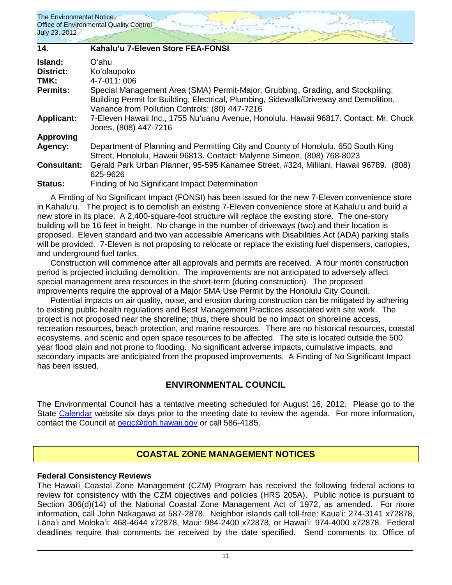| 14.                | Kahalu'u 7-Eleven Store FEA-FONSI                                                                                                                                                                                           |
|--------------------|-----------------------------------------------------------------------------------------------------------------------------------------------------------------------------------------------------------------------------|
| Island:            | Oʻahu.                                                                                                                                                                                                                      |
| <b>District:</b>   | Ko'olaupoko                                                                                                                                                                                                                 |
| TMK:               | 4-7-011:006                                                                                                                                                                                                                 |
| <b>Permits:</b>    | Special Management Area (SMA) Permit-Major; Grubbing, Grading, and Stockpiling;<br>Building Permit for Building, Electrical, Plumbing, Sidewalk/Driveway and Demolition,<br>Variance from Pollution Controls: (80) 447-7216 |
| <b>Applicant:</b>  | 7-Eleven Hawaii Inc., 1755 Nu'uanu Avenue, Honolulu, Hawaii 96817. Contact: Mr. Chuck<br>Jones, (808) 447-7216                                                                                                              |
| <b>Approving</b>   |                                                                                                                                                                                                                             |
| Agency:            | Department of Planning and Permitting City and County of Honolulu, 650 South King<br>Street, Honolulu, Hawaii 96813. Contact: Malynne Simeon, (808) 768-8023                                                                |
| <b>Consultant:</b> | Gerald Park Urban Planner, 95-595 Kanamee Street, #324, Mililani, Hawaii 96789. (808)<br>625-9626                                                                                                                           |
| <b>Status:</b>     | Finding of No Significant Impact Determination                                                                                                                                                                              |

A Finding of No Significant Impact (FONSI) has been issued for the new 7-Eleven convenience store in Kahaluʻu. The project is to demolish an existing 7-Eleven convenience store at Kahaluʻu and build a new store in its place. A 2,400-square-foot structure will replace the existing store. The one-story building will be 16 feet in height. No change in the number of driveways (two) and their location is proposed. Eleven standard and two van accessible Americans with Disabilities Act (ADA) parking stalls will be provided. 7-Eleven is not proposing to relocate or replace the existing fuel dispensers, canopies, and underground fuel tanks.

Construction will commence after all approvals and permits are received. A four month construction period is projected including demolition. The improvements are not anticipated to adversely affect special management area resources in the short-term (during construction). The proposed improvements require the approval of a Major SMA Use Permit by the Honolulu City Council.

Potential impacts on air quality, noise, and erosion during construction can be mitigated by adhering to existing public health regulations and Best Management Practices associated with site work. The project is not proposed near the shoreline; thus, there should be no impact on shoreline access, recreation resources, beach protection, and marine resources. There are no historical resources, coastal ecosystems, and scenic and open space resources to be affected. The site is located outside the 500 year flood plain and not prone to flooding. No significant adverse impacts, cumulative impacts, and secondary impacts are anticipated from the proposed improvements. A Finding of No Significant Impact has been issued.

# **ENVIRONMENTAL COUNCIL**

The Environmental Council has a tentative meeting scheduled for August 16, 2012. Please go to the State [Calendar](http://calendar.ehawaii.gov/calendar/html/event) website six days prior to the meeting date to review the agenda. For more information, contact the Council at [oeqc@doh.hawaii.gov](mailto:oeqc@doh.hawaii.gov) or call 586-4185.

# **COASTAL ZONE MANAGEMENT NOTICES**

## **Federal Consistency Reviews**

The Hawaiʻi Coastal Zone Management (CZM) Program has received the following federal actions to review for consistency with the CZM objectives and policies (HRS 205A). Public notice is pursuant to Section 306(d)(14) of the National Coastal Zone Management Act of 1972, as amended. For more information, call John Nakagawa at 587-2878. Neighbor islands call toll-free: Kauaʻi: 274-3141 x72878, Lānaʻi and Molokaʻi: 468-4644 x72878, Maui: 984-2400 x72878, or Hawaiʻi: 974-4000 x72878. Federal deadlines require that comments be received by the date specified. Send comments to: Office of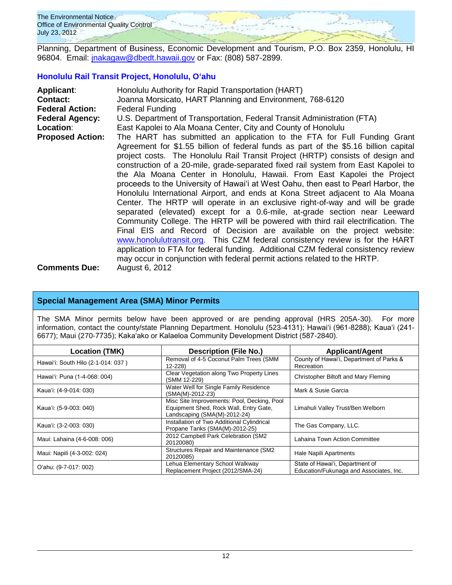

Planning, Department of Business, Economic Development and Tourism, P.O. Box 2359, Honolulu, HI 96804. Email: *jnakagaw@dbedt.hawaii.gov* or Fax: (808) 587-2899.

## **[Honolulu Rail Transit Project, Honolulu, Oʻahu](http://oeqc.doh.hawaii.gov/Shared%20Documents/Forms/AllItems.aspx?RootFolder=%2fShared%20Documents%2fEA%5fand%5fEIS%5fOnline%5fLibrary%2fOahu%2f2010s%2f2010%2d07%2d08%2dOA%2dFEIS%2dHONOLULU%2dHIGH%2dCAPACITY%2dTRANSIT%2dCORRIDOR&View=%7bC0C5C897%2d3066%2d4821%2d864E%2d36FB3D77F5D5%7d)**

| <b>Applicant:</b>       | Honolulu Authority for Rapid Transportation (HART)                                                                                                                                                                                                                                                                                                                                                                                                                                                                                                                                                                                                                                                                                                                                                                                                                                                                                                                                                 |  |  |
|-------------------------|----------------------------------------------------------------------------------------------------------------------------------------------------------------------------------------------------------------------------------------------------------------------------------------------------------------------------------------------------------------------------------------------------------------------------------------------------------------------------------------------------------------------------------------------------------------------------------------------------------------------------------------------------------------------------------------------------------------------------------------------------------------------------------------------------------------------------------------------------------------------------------------------------------------------------------------------------------------------------------------------------|--|--|
| <b>Contact:</b>         | Joanna Morsicato, HART Planning and Environment, 768-6120                                                                                                                                                                                                                                                                                                                                                                                                                                                                                                                                                                                                                                                                                                                                                                                                                                                                                                                                          |  |  |
| <b>Federal Action:</b>  | <b>Federal Funding</b>                                                                                                                                                                                                                                                                                                                                                                                                                                                                                                                                                                                                                                                                                                                                                                                                                                                                                                                                                                             |  |  |
| <b>Federal Agency:</b>  | U.S. Department of Transportation, Federal Transit Administration (FTA)                                                                                                                                                                                                                                                                                                                                                                                                                                                                                                                                                                                                                                                                                                                                                                                                                                                                                                                            |  |  |
| Location:               | East Kapolei to Ala Moana Center, City and County of Honolulu                                                                                                                                                                                                                                                                                                                                                                                                                                                                                                                                                                                                                                                                                                                                                                                                                                                                                                                                      |  |  |
| <b>Proposed Action:</b> | The HART has submitted an application to the FTA for Full Funding Grant<br>Agreement for \$1.55 billion of federal funds as part of the \$5.16 billion capital<br>project costs. The Honolulu Rail Transit Project (HRTP) consists of design and<br>construction of a 20-mile, grade-separated fixed rail system from East Kapolei to<br>the Ala Moana Center in Honolulu, Hawaii. From East Kapolei the Project<br>proceeds to the University of Hawai'i at West Oahu, then east to Pearl Harbor, the<br>Honolulu International Airport, and ends at Kona Street adjacent to Ala Moana<br>Center. The HRTP will operate in an exclusive right-of-way and will be grade<br>separated (elevated) except for a 0.6-mile, at-grade section near Leeward<br>Community College. The HRTP will be powered with third rail electrification. The<br>Final EIS and Record of Decision are available on the project website:<br>www.honolulutransit.org. This CZM federal consistency review is for the HART |  |  |
|                         | application to FTA for federal funding. Additional CZM federal consistency review                                                                                                                                                                                                                                                                                                                                                                                                                                                                                                                                                                                                                                                                                                                                                                                                                                                                                                                  |  |  |
|                         | may occur in conjunction with federal permit actions related to the HRTP.                                                                                                                                                                                                                                                                                                                                                                                                                                                                                                                                                                                                                                                                                                                                                                                                                                                                                                                          |  |  |
| <b>Comments Due:</b>    | August 6, 2012                                                                                                                                                                                                                                                                                                                                                                                                                                                                                                                                                                                                                                                                                                                                                                                                                                                                                                                                                                                     |  |  |

## **Special Management Area (SMA) Minor Permits**

The SMA Minor permits below have been approved or are pending approval (HRS 205A-30). For more information, contact the county/state Planning Department. Honolulu (523-4131); Hawaiʻi (961-8288); Kauaʻi (241-6677); Maui (270-7735); Kakaʻako or Kalaeloa Community Development District (587-2840).

| <b>Location (TMK)</b>              | <b>Description (File No.)</b>                                                                                         | <b>Applicant/Agent</b>                                                     |  |
|------------------------------------|-----------------------------------------------------------------------------------------------------------------------|----------------------------------------------------------------------------|--|
| Hawai'i: South Hilo (2-1-014: 037) | Removal of 4-5 Coconut Palm Trees (SMM<br>12-228)                                                                     | County of Hawai'i, Department of Parks &<br>Recreation                     |  |
| Hawai'i: Puna (1-4-068: 004)       | Clear Vegetation along Two Property Lines<br>(SMM 12-229)                                                             | Christopher Biltoft and Mary Fleming                                       |  |
| Kaua'i: (4-9-014: 030)             | Water Well for Single Family Residence<br>(SMA(M)-2012-23)                                                            | Mark & Susie Garcia                                                        |  |
| Kaua'i: (5-9-003: 040)             | Misc Site Improvements: Pool, Decking, Pool<br>Equipment Shed, Rock Wall, Entry Gate,<br>Landscaping (SMA(M)-2012-24) | Limahuli Valley Trust/Ben Welborn                                          |  |
| Kaua'i: (3-2-003: 030)             | Installation of Two Additional Cylindrical<br>Propane Tanks (SMA(M)-2012-25)                                          | The Gas Company, LLC.                                                      |  |
| Maui: Lahaina (4-6-008: 006)       | 2012 Campbell Park Celebration (SM2<br>20120080)                                                                      | <b>Lahaina Town Action Committee</b>                                       |  |
| Maui: Napili (4-3-002: 024)        | Structures Repair and Maintenance (SM2<br>20120085)                                                                   | Hale Napili Apartments                                                     |  |
| O'ahu: (9-7-017: 002)              | Lehua Elementary School Walkway<br>Replacement Project (2012/SMA-24)                                                  | State of Hawai'i, Department of<br>Education/Fukunaga and Associates, Inc. |  |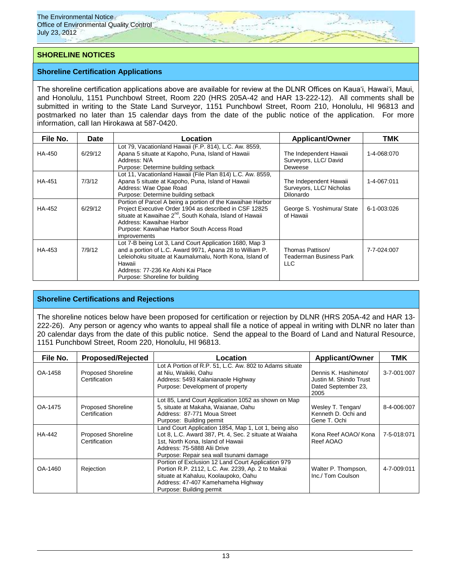## **SHORELINE NOTICES**

#### **Shoreline Certification Applications**

The shoreline certification applications above are available for review at the DLNR Offices on Kauaʻi, Hawaiʻi, Maui, and Honolulu, 1151 Punchbowl Street, Room 220 (HRS 205A-42 and HAR 13-222-12). All comments shall be submitted in writing to the State Land Surveyor, 1151 Punchbowl Street, Room 210, Honolulu, HI 96813 and postmarked no later than 15 calendar days from the date of the public notice of the application. For more information, call Ian Hirokawa at 587-0420.

| File No.      | Date    | <b>Applicant/Owner</b><br>Location                                                                                                                                                                                                                                                     |                                                                        | <b>TMK</b>  |
|---------------|---------|----------------------------------------------------------------------------------------------------------------------------------------------------------------------------------------------------------------------------------------------------------------------------------------|------------------------------------------------------------------------|-------------|
| HA-450        | 6/29/12 | Lot 79, Vacationland Hawaii (F.P. 814), L.C. Aw. 8559,<br>Apana 5 situate at Kapoho, Puna, Island of Hawaii<br>Address: N/A<br>Purpose: Determine building setback                                                                                                                     | The Independent Hawaii<br>Surveyors, LLC/ David<br>Deweese             | 1-4-068:070 |
| <b>HA-451</b> | 7/3/12  | Lot 11, Vacationland Hawaii (File Plan 814) L.C. Aw. 8559,<br>Apana 5 situate at Kapoho, Puna, Island of Hawaii<br>Address: Wae Opae Road<br>Purpose: Determine building setback                                                                                                       | The Independent Hawaii<br>Surveyors, LLC/ Nicholas<br><b>Dilonardo</b> | 1-4-067:011 |
| HA-452        | 6/29/12 | Portion of Parcel A being a portion of the Kawaihae Harbor<br>Project Executive Order 1904 as described in CSF 12825<br>situate at Kawaihae 2 <sup>nd</sup> , South Kohala, Island of Hawaii<br>Address: Kawaihae Harbor<br>Purpose: Kawaihae Harbor South Access Road<br>improvements | George S. Yoshimura/ State<br>of Hawaii                                | 6-1-003:026 |
| HA-453        | 7/9/12  | Lot 7-B being Lot 3, Land Court Application 1680, Map 3<br>and a portion of L.C. Award 9971, Apana 28 to William P.<br>Leleiohoku situate at Kaumalumalu, North Kona, Island of<br>Hawaii<br>Address: 77-236 Ke Alohi Kai Place<br>Purpose: Shoreline for building                     | Thomas Pattison/<br>Teaderman Business Park<br>LLC.                    | 7-7-024:007 |

### **Shoreline Certifications and Rejections**

The shoreline notices below have been proposed for certification or rejection by DLNR (HRS 205A-42 and HAR 13- 222-26). Any person or agency who wants to appeal shall file a notice of appeal in writing with DLNR no later than 20 calendar days from the date of this public notice. Send the appeal to the Board of Land and Natural Resource, 1151 Punchbowl Street, Room 220, Honolulu, HI 96813.

| File No. | <b>Proposed/Rejected</b>                   | Location                                                                                                                                                                                                                       | <b>Applicant/Owner</b>                                                        | <b>TMK</b>  |
|----------|--------------------------------------------|--------------------------------------------------------------------------------------------------------------------------------------------------------------------------------------------------------------------------------|-------------------------------------------------------------------------------|-------------|
| OA-1458  | <b>Proposed Shoreline</b><br>Certification | Lot A Portion of R.P. 51, L.C. Aw. 802 to Adams situate<br>at Niu. Waikiki. Oahu<br>Address: 5493 Kalanianaole Highway<br>Purpose: Development of property                                                                     | Dennis K. Hashimoto/<br>Justin M. Shindo Trust<br>Dated September 23,<br>2005 | 3-7-001:007 |
| OA-1475  | <b>Proposed Shoreline</b><br>Certification | Lot 85, Land Court Application 1052 as shown on Map<br>5, situate at Makaha, Waianae, Oahu<br>Address: 87-771 Moua Street<br>Purpose: Building permit                                                                          | Wesley T. Tengan/<br>Kenneth D. Ochi and<br>Gene T. Ochi                      | 8-4-006:007 |
| HA-442   | <b>Proposed Shoreline</b><br>Certification | Land Court Application 1854, Map 1, Lot 1, being also<br>Lot 8, L.C. Award 387, Pt. 4, Sec. 2 situate at Waiaha<br>1st. North Kona, Island of Hawaii<br>Address: 75-5888 Alii Drive<br>Purpose: Repair sea wall tsunami damage | Kona Reef AOAO/ Kona<br>Reef AOAO                                             | 7-5-018:071 |
| OA-1460  | Rejection                                  | Portion of Exclusion 12 Land Court Application 979<br>Portion R.P. 2112, L.C. Aw. 2239, Ap. 2 to Maikai<br>situate at Kahaluu, Koolaupoko, Oahu<br>Address: 47-407 Kamehameha Highway<br>Purpose: Building permit              | Walter P. Thompson,<br>Inc./ Tom Coulson                                      | 4-7-009:011 |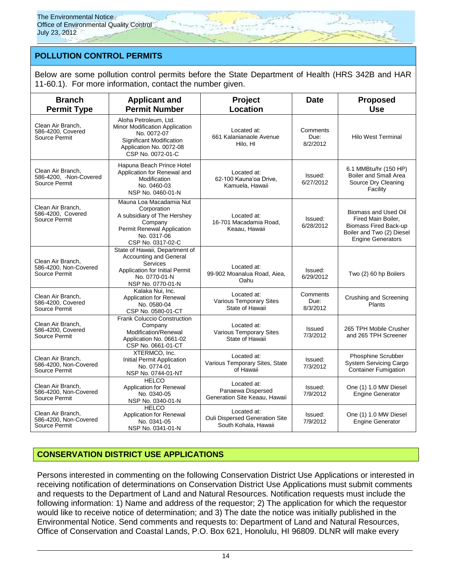# **POLLUTION CONTROL PERMITS**

Below are some pollution control permits before the State Department of Health (HRS 342B and HAR 11-60.1). For more information, contact the number given.

| <b>Branch</b><br><b>Permit Type</b>                         | <b>Applicant and</b><br><b>Permit Number</b>                                                                                                               | Project<br>Location                                                   | <b>Date</b>                  | <b>Proposed</b><br><b>Use</b>                                                                                                |
|-------------------------------------------------------------|------------------------------------------------------------------------------------------------------------------------------------------------------------|-----------------------------------------------------------------------|------------------------------|------------------------------------------------------------------------------------------------------------------------------|
| Clean Air Branch.<br>586-4200, Covered<br>Source Permit     | Aloha Petroleum, Ltd.<br>Minor Modification Application<br>No. 0072-07<br><b>Significant Modification</b><br>Application No. 0072-08<br>CSP No. 0072-01-C  | Located at:<br>661 Kalanianaole Avenue<br>Hilo. HI                    | Comments<br>Due:<br>8/2/2012 | <b>Hilo West Terminal</b>                                                                                                    |
| Clean Air Branch.<br>586-4200, Non-Covered<br>Source Permit | Hapuna Beach Prince Hotel<br>Application for Renewal and<br>Modification<br>No. 0460-03<br>NSP No. 0460-01-N                                               | Located at:<br>62-100 Kauna'oa Drive,<br>Kamuela, Hawaii              | Issued:<br>6/27/2012         | 6.1 MMBtu/hr (150 HP)<br><b>Boiler and Small Area</b><br>Source Dry Cleaning<br>Facility                                     |
| Clean Air Branch,<br>586-4200, Covered<br>Source Permit     | Mauna Loa Macadamia Nut<br>Corporation<br>A subsidiary of The Hershey<br>Company<br>Permit Renewal Application<br>No. 0317-06<br>CSP No. 0317-02-C         | Located at:<br>16-701 Macadamia Road,<br>Keaau, Hawaii                | Issued:<br>6/28/2012         | Biomass and Used Oil<br>Fired Main Boiler,<br>Biomass Fired Back-up<br>Boiler and Two (2) Diesel<br><b>Engine Generators</b> |
| Clean Air Branch.<br>586-4200, Non-Covered<br>Source Permit | State of Hawaii, Department of<br><b>Accounting and General</b><br><b>Services</b><br>Application for Initial Permit<br>No. 0770-01-N<br>NSP No. 0770-01-N | Located at:<br>99-902 Moanalua Road, Aiea,<br>Oahu                    | Issued:<br>6/29/2012         | Two (2) 60 hp Boilers                                                                                                        |
| Clean Air Branch.<br>586-4200, Covered<br>Source Permit     | Kalaka Nui, Inc.<br>Application for Renewal<br>No. 0580-04<br>CSP No. 0580-01-CT                                                                           | Located at:<br>Various Temporary Sites<br>State of Hawaii             | Comments<br>Due:<br>8/3/2012 | Crushing and Screening<br>Plants                                                                                             |
| Clean Air Branch,<br>586-4200, Covered<br>Source Permit     | <b>Frank Coluccio Construction</b><br>Company<br>Modification/Renewal<br>Application No. 0661-02<br>CSP No. 0661-01-CT                                     | Located at:<br>Various Temporary Sites<br>State of Hawaii             | Issued<br>7/3/2012           | 265 TPH Mobile Crusher<br>and 265 TPH Screener                                                                               |
| Clean Air Branch.<br>586-4200, Non-Covered<br>Source Permit | XTERMCO, Inc.<br><b>Initial Permit Application</b><br>No. 0774-01<br>NSP No. 0744-01-NT                                                                    | Located at:<br>Various Temporary Sites, State<br>of Hawaii            | Issued:<br>7/3/2012          | Phosphine Scrubber<br><b>System Servicing Cargo</b><br><b>Container Fumigation</b>                                           |
| Clean Air Branch.<br>586-4200, Non-Covered<br>Source Permit | <b>HELCO</b><br><b>Application for Renewal</b><br>No. 0340-05<br>NSP No. 0340-01-N                                                                         | Located at:<br>Panaewa Dispersed<br>Generation Site Keaau, Hawaii     | Issued:<br>7/9/2012          | One (1) 1.0 MW Diesel<br><b>Engine Generator</b>                                                                             |
| Clean Air Branch.<br>586-4200, Non-Covered<br>Source Permit | <b>HELCO</b><br><b>Application for Renewal</b><br>No. 0341-05<br>NSP No. 0341-01-N                                                                         | Located at:<br>Ouli Dispersed Generation Site<br>South Kohala, Hawaii | Issued:<br>7/9/2012          | One (1) 1.0 MW Diesel<br><b>Engine Generator</b>                                                                             |

# **CONSERVATION DISTRICT USE APPLICATIONS**

Persons interested in commenting on the following Conservation District Use Applications or interested in receiving notification of determinations on Conservation District Use Applications must submit comments and requests to the Department of Land and Natural Resources. Notification requests must include the following information: 1) Name and address of the requestor; 2) The application for which the requestor would like to receive notice of determination; and 3) The date the notice was initially published in the Environmental Notice. Send comments and requests to: Department of Land and Natural Resources, Office of Conservation and Coastal Lands, P.O. Box 621, Honolulu, HI 96809. DLNR will make every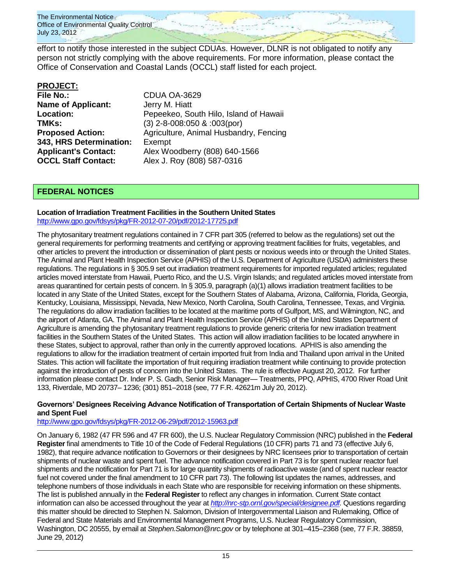

effort to notify those interested in the subject CDUAs. However, DLNR is not obligated to notify any person not strictly complying with the above requirements. For more information, please contact the Office of Conservation and Coastal Lands (OCCL) staff listed for each project.

## **PROJECT:**

| <b>File No.:</b>            | <b>CDUA OA-3629</b>                    |
|-----------------------------|----------------------------------------|
| <b>Name of Applicant:</b>   | Jerry M. Hiatt                         |
| <b>Location:</b>            | Pepeekeo, South Hilo, Island of Hawaii |
| TMKs:                       | $(3)$ 2-8-008:050 & :003(por)          |
| <b>Proposed Action:</b>     | Agriculture, Animal Husbandry, Fencing |
| 343, HRS Determination:     | Exempt                                 |
| <b>Applicant's Contact:</b> | Alex Woodberry (808) 640-1566          |
| <b>OCCL Staff Contact:</b>  | Alex J. Roy (808) 587-0316             |
|                             |                                        |

## **FEDERAL NOTICES**

# **Location of Irradiation Treatment Facilities in the Southern United States**

<http://www.gpo.gov/fdsys/pkg/FR-2012-07-20/pdf/2012-17725.pdf>

The phytosanitary treatment regulations contained in 7 CFR part 305 (referred to below as the regulations) set out the general requirements for performing treatments and certifying or approving treatment facilities for fruits, vegetables, and other articles to prevent the introduction or dissemination of plant pests or noxious weeds into or through the United States. The Animal and Plant Health Inspection Service (APHIS) of the U.S. Department of Agriculture (USDA) administers these regulations. The regulations in § 305.9 set out irradiation treatment requirements for imported regulated articles; regulated articles moved interstate from Hawaii, Puerto Rico, and the U.S. Virgin Islands; and regulated articles moved interstate from areas quarantined for certain pests of concern. In § 305.9, paragraph (a)(1) allows irradiation treatment facilities to be located in any State of the United States, except for the Southern States of Alabama, Arizona, California, Florida, Georgia, Kentucky, Louisiana, Mississippi, Nevada, New Mexico, North Carolina, South Carolina, Tennessee, Texas, and Virginia. The regulations do allow irradiation facilities to be located at the maritime ports of Gulfport, MS, and Wilmington, NC, and the airport of Atlanta, GA. The Animal and Plant Health Inspection Service (APHIS) of the United States Department of Agriculture is amending the phytosanitary treatment regulations to provide generic criteria for new irradiation treatment facilities in the Southern States of the United States. This action will allow irradiation facilities to be located anywhere in these States, subject to approval, rather than only in the currently approved locations. APHIS is also amending the regulations to allow for the irradiation treatment of certain imported fruit from India and Thailand upon arrival in the United States. This action will facilitate the importation of fruit requiring irradiation treatment while continuing to provide protection against the introduction of pests of concern into the United States. The rule is effective August 20, 2012. For further information please contact Dr. Inder P. S. Gadh, Senior Risk Manager— Treatments, PPQ, APHIS, 4700 River Road Unit 133, Riverdale, MD 20737– 1236; (301) 851–2018 (see, 77 F.R. 42621m July 20, 2012).

### **Governors' Designees Receiving Advance Notification of Transportation of Certain Shipments of Nuclear Waste and Spent Fuel**

### <http://www.gpo.gov/fdsys/pkg/FR-2012-06-29/pdf/2012-15963.pdf>

On January 6, 1982 (47 FR 596 and 47 FR 600), the U.S. Nuclear Regulatory Commission (NRC) published in the **Federal Register** final amendments to Title 10 of the Code of Federal Regulations (10 CFR) parts 71 and 73 (effective July 6, 1982), that require advance notification to Governors or their designees by NRC licensees prior to transportation of certain shipments of nuclear waste and spent fuel. The advance notification covered in Part 73 is for spent nuclear reactor fuel shipments and the notification for Part 71 is for large quantity shipments of radioactive waste (and of spent nuclear reactor fuel not covered under the final amendment to 10 CFR part 73). The following list updates the names, addresses, and telephone numbers of those individuals in each State who are responsible for receiving information on these shipments. The list is published annually in the **Federal Register** to reflect any changes in information. Current State contact information can also be accessed throughout the year at *[http://nrc-stp.ornl.gov/special/designee.pdf.](http://nrc-stp.ornl.gov/special/designee.pdf)* Questions regarding this matter should be directed to Stephen N. Salomon, Division of Intergovernmental Liaison and Rulemaking, Office of Federal and State Materials and Environmental Management Programs, U.S. Nuclear Regulatory Commission, Washington, DC 20555, by email at *Stephen.Salomon@nrc.gov* or by telephone at 301–415–2368 (see, 77 F.R. 38859, June 29, 2012)